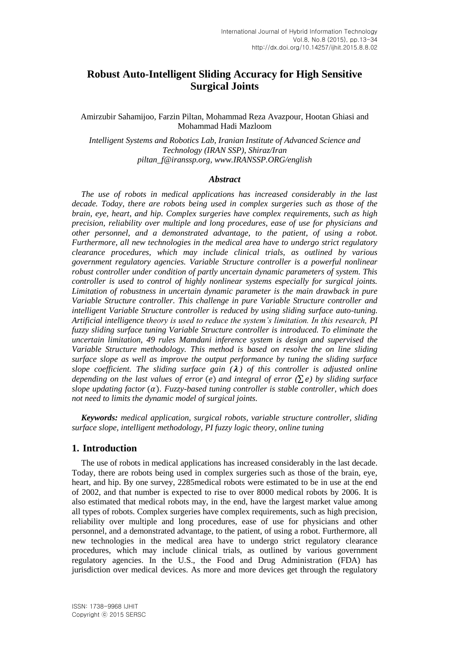# **Robust Auto-Intelligent Sliding Accuracy for High Sensitive Surgical Joints**

Amirzubir Sahamijoo, Farzin Piltan, Mohammad Reza Avazpour, Hootan Ghiasi and Mohammad Hadi Mazloom

*Intelligent Systems and Robotics Lab, Iranian Institute of Advanced Science and Technology (IRAN SSP), Shiraz/Iran [piltan\\_f@iranssp.org,](mailto:piltan_f@iranssp.org) www.IRANSSP.ORG/english*

#### *Abstract*

*The use of robots in medical applications has increased considerably in the last decade. Today, there are robots being used in complex surgeries such as those of the brain, eye, heart, and hip. Complex surgeries have complex requirements, such as high precision, reliability over multiple and long procedures, ease of use for physicians and other personnel, and a demonstrated advantage, to the patient, of using a robot. Furthermore, all new technologies in the medical area have to undergo strict regulatory clearance procedures, which may include clinical trials, as outlined by various government regulatory agencies. Variable Structure controller is a powerful nonlinear robust controller under condition of partly uncertain dynamic parameters of system. This controller is used to control of highly nonlinear systems especially for surgical joints. Limitation of robustness in uncertain dynamic parameter is the main drawback in pure Variable Structure controller. This challenge in pure Variable Structure controller and intelligent Variable Structure controller is reduced by using sliding surface auto-tuning. Artificial intelligence theory is used to reduce the system's limitation. In this research, PI fuzzy sliding surface tuning Variable Structure controller is introduced. To eliminate the uncertain limitation, 49 rules Mamdani inference system is design and supervised the Variable Structure methodology. This method is based on resolve the on line sliding surface slope as well as improve the output performance by tuning the sliding surface*  slope coefficient. The sliding surface gain  $(\lambda)$  of this controller is adjusted online *depending on the last values of error*  $(e)$  *and integral of error*  $(\sum e)$  *by sliding surface slope updating factor*  $(\alpha)$ *. Fuzzy-based tuning controller is stable controller, which does not need to limits the dynamic model of surgical joints.*

*Keywords: medical application, surgical robots, variable structure controller, sliding surface slope, intelligent methodology, PI fuzzy logic theory, online tuning*

### **1. Introduction**

The use of robots in medical applications has increased considerably in the last decade. Today, there are robots being used in complex surgeries such as those of the brain, eye, heart, and hip. By one survey, 2285medical robots were estimated to be in use at the end of 2002, and that number is expected to rise to over 8000 medical robots by 2006. It is also estimated that medical robots may, in the end, have the largest market value among all types of robots. Complex surgeries have complex requirements, such as high precision, reliability over multiple and long procedures, ease of use for physicians and other personnel, and a demonstrated advantage, to the patient, of using a robot. Furthermore, all new technologies in the medical area have to undergo strict regulatory clearance procedures, which may include clinical trials, as outlined by various government regulatory agencies. In the U.S., the Food and Drug Administration (FDA) has jurisdiction over medical devices. As more and more devices get through the regulatory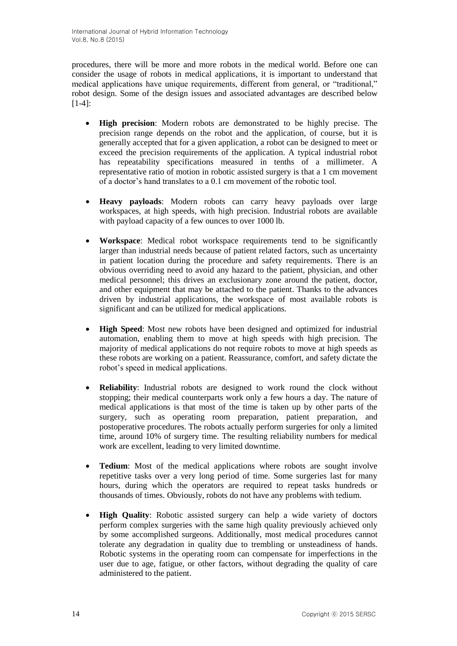procedures, there will be more and more robots in the medical world. Before one can consider the usage of robots in medical applications, it is important to understand that medical applications have unique requirements, different from general, or "traditional," robot design. Some of the design issues and associated advantages are described below  $[1-4]$ :

- **High precision**: Modern robots are demonstrated to be highly precise. The precision range depends on the robot and the application, of course, but it is generally accepted that for a given application, a robot can be designed to meet or exceed the precision requirements of the application. A typical industrial robot has repeatability specifications measured in tenths of a millimeter. A representative ratio of motion in robotic assisted surgery is that a 1 cm movement of a doctor's hand translates to a 0.1 cm movement of the robotic tool.
- **Heavy payloads**: Modern robots can carry heavy payloads over large workspaces, at high speeds, with high precision. Industrial robots are available with payload capacity of a few ounces to over 1000 lb.
- **Workspace**: Medical robot workspace requirements tend to be significantly larger than industrial needs because of patient related factors, such as uncertainty in patient location during the procedure and safety requirements. There is an obvious overriding need to avoid any hazard to the patient, physician, and other medical personnel; this drives an exclusionary zone around the patient, doctor, and other equipment that may be attached to the patient. Thanks to the advances driven by industrial applications, the workspace of most available robots is significant and can be utilized for medical applications.
- **High Speed**: Most new robots have been designed and optimized for industrial automation, enabling them to move at high speeds with high precision. The majority of medical applications do not require robots to move at high speeds as these robots are working on a patient. Reassurance, comfort, and safety dictate the robot's speed in medical applications.
- **Reliability**: Industrial robots are designed to work round the clock without stopping; their medical counterparts work only a few hours a day. The nature of medical applications is that most of the time is taken up by other parts of the surgery, such as operating room preparation, patient preparation, and postoperative procedures. The robots actually perform surgeries for only a limited time, around 10% of surgery time. The resulting reliability numbers for medical work are excellent, leading to very limited downtime.
- **Tedium**: Most of the medical applications where robots are sought involve repetitive tasks over a very long period of time. Some surgeries last for many hours, during which the operators are required to repeat tasks hundreds or thousands of times. Obviously, robots do not have any problems with tedium.
- **High Quality**: Robotic assisted surgery can help a wide variety of doctors perform complex surgeries with the same high quality previously achieved only by some accomplished surgeons. Additionally, most medical procedures cannot tolerate any degradation in quality due to trembling or unsteadiness of hands. Robotic systems in the operating room can compensate for imperfections in the user due to age, fatigue, or other factors, without degrading the quality of care administered to the patient.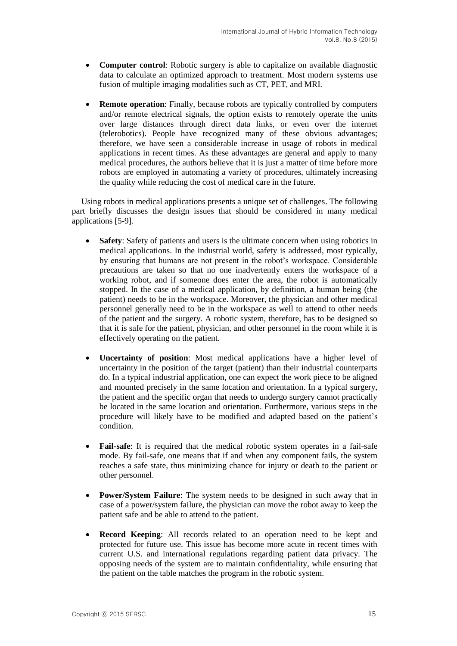- **Computer control**: Robotic surgery is able to capitalize on available diagnostic data to calculate an optimized approach to treatment. Most modern systems use fusion of multiple imaging modalities such as CT, PET, and MRI.
- **Remote operation**: Finally, because robots are typically controlled by computers and/or remote electrical signals, the option exists to remotely operate the units over large distances through direct data links, or even over the internet (telerobotics). People have recognized many of these obvious advantages; therefore, we have seen a considerable increase in usage of robots in medical applications in recent times. As these advantages are general and apply to many medical procedures, the authors believe that it is just a matter of time before more robots are employed in automating a variety of procedures, ultimately increasing the quality while reducing the cost of medical care in the future.

Using robots in medical applications presents a unique set of challenges. The following part briefly discusses the design issues that should be considered in many medical applications [5-9].

- **Safety**: Safety of patients and users is the ultimate concern when using robotics in medical applications. In the industrial world, safety is addressed, most typically, by ensuring that humans are not present in the robot's workspace. Considerable precautions are taken so that no one inadvertently enters the workspace of a working robot, and if someone does enter the area, the robot is automatically stopped. In the case of a medical application, by definition, a human being (the patient) needs to be in the workspace. Moreover, the physician and other medical personnel generally need to be in the workspace as well to attend to other needs of the patient and the surgery. A robotic system, therefore, has to be designed so that it is safe for the patient, physician, and other personnel in the room while it is effectively operating on the patient.
- **Uncertainty of position**: Most medical applications have a higher level of uncertainty in the position of the target (patient) than their industrial counterparts do. In a typical industrial application, one can expect the work piece to be aligned and mounted precisely in the same location and orientation. In a typical surgery, the patient and the specific organ that needs to undergo surgery cannot practically be located in the same location and orientation. Furthermore, various steps in the procedure will likely have to be modified and adapted based on the patient's condition.
- **Fail-safe**: It is required that the medical robotic system operates in a fail-safe mode. By fail-safe, one means that if and when any component fails, the system reaches a safe state, thus minimizing chance for injury or death to the patient or other personnel.
- **Power/System Failure**: The system needs to be designed in such away that in case of a power/system failure, the physician can move the robot away to keep the patient safe and be able to attend to the patient.
- **Record Keeping**: All records related to an operation need to be kept and protected for future use. This issue has become more acute in recent times with current U.S. and international regulations regarding patient data privacy. The opposing needs of the system are to maintain confidentiality, while ensuring that the patient on the table matches the program in the robotic system.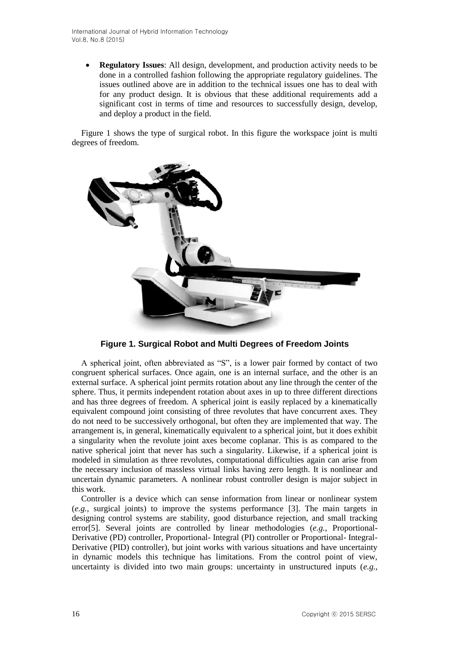**Regulatory Issues**: All design, development, and production activity needs to be done in a controlled fashion following the appropriate regulatory guidelines. The issues outlined above are in addition to the technical issues one has to deal with for any product design. It is obvious that these additional requirements add a significant cost in terms of time and resources to successfully design, develop, and deploy a product in the field.

Figure 1 shows the type of surgical robot. In this figure the workspace joint is multi degrees of freedom.



**Figure 1. Surgical Robot and Multi Degrees of Freedom Joints**

A spherical joint, often abbreviated as "S", is a lower pair formed by contact of two congruent spherical surfaces. Once again, one is an internal surface, and the other is an external surface. A spherical joint permits rotation about any line through the center of the sphere. Thus, it permits independent rotation about axes in up to three different directions and has three degrees of freedom. A spherical joint is easily replaced by a kinematically equivalent compound joint consisting of three revolutes that have concurrent axes. They do not need to be successively orthogonal, but often they are implemented that way. The arrangement is, in general, kinematically equivalent to a spherical joint, but it does exhibit a singularity when the revolute joint axes become coplanar. This is as compared to the native spherical joint that never has such a singularity. Likewise, if a spherical joint is modeled in simulation as three revolutes, computational difficulties again can arise from the necessary inclusion of massless virtual links having zero length. It is nonlinear and uncertain dynamic parameters. A nonlinear robust controller design is major subject in this work.

Controller is a device which can sense information from linear or nonlinear system (*e.g.*, surgical joints) to improve the systems performance [3]. The main targets in designing control systems are stability, good disturbance rejection, and small tracking error[5]. Several joints are controlled by linear methodologies (*e.g.*, Proportional-Derivative (PD) controller, Proportional- Integral (PI) controller or Proportional- Integral-Derivative (PID) controller), but joint works with various situations and have uncertainty in dynamic models this technique has limitations. From the control point of view, uncertainty is divided into two main groups: uncertainty in unstructured inputs (*e.g.*,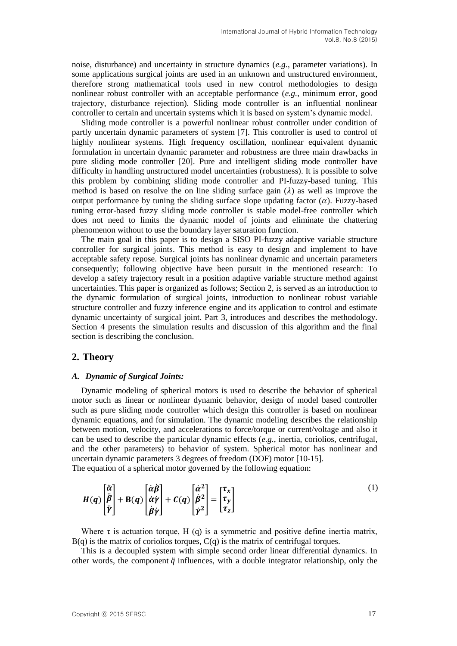noise, disturbance) and uncertainty in structure dynamics (*e.g.*, parameter variations). In some applications surgical joints are used in an unknown and unstructured environment, therefore strong mathematical tools used in new control methodologies to design nonlinear robust controller with an acceptable performance (*e.g.*, minimum error, good trajectory, disturbance rejection). Sliding mode controller is an influential nonlinear controller to certain and uncertain systems which it is based on system's dynamic model.

Sliding mode controller is a powerful nonlinear robust controller under condition of partly uncertain dynamic parameters of system [7]. This controller is used to control of highly nonlinear systems. High frequency oscillation, nonlinear equivalent dynamic formulation in uncertain dynamic parameter and robustness are three main drawbacks in pure sliding mode controller [20]. Pure and intelligent sliding mode controller have difficulty in handling unstructured model uncertainties (robustness). It is possible to solve this problem by combining sliding mode controller and PI-fuzzy-based tuning. This method is based on resolve the on line sliding surface gain  $(\lambda)$  as well as improve the output performance by tuning the sliding surface slope updating factor  $(\alpha)$ . Fuzzy-based tuning error-based fuzzy sliding mode controller is stable model-free controller which does not need to limits the dynamic model of joints and eliminate the chattering phenomenon without to use the boundary layer saturation function.

The main goal in this paper is to design a SISO PI-fuzzy adaptive variable structure controller for surgical joints. This method is easy to design and implement to have acceptable safety repose. Surgical joints has nonlinear dynamic and uncertain parameters consequently; following objective have been pursuit in the mentioned research: To develop a safety trajectory result in a position adaptive variable structure method against uncertainties. This paper is organized as follows; Section 2, is served as an introduction to the dynamic formulation of surgical joints, introduction to nonlinear robust variable structure controller and fuzzy inference engine and its application to control and estimate dynamic uncertainty of surgical joint. Part 3, introduces and describes the methodology. Section 4 presents the simulation results and discussion of this algorithm and the final section is describing the conclusion.

### **2. Theory**

#### *A. Dynamic of Surgical Joints:*

Dynamic modeling of spherical motors is used to describe the behavior of spherical motor such as linear or nonlinear dynamic behavior, design of model based controller such as pure sliding mode controller which design this controller is based on nonlinear dynamic equations, and for simulation. The dynamic modeling describes the relationship between motion, velocity, and accelerations to force/torque or current/voltage and also it can be used to describe the particular dynamic effects (*e.g.*, inertia, coriolios, centrifugal, and the other parameters) to behavior of system. Spherical motor has nonlinear and uncertain dynamic parameters 3 degrees of freedom (DOF) motor [10-15]. The equation of a spherical motor governed by the following equation:

$$
H(q)\begin{bmatrix} \ddot{\alpha} \\ \ddot{\beta} \\ \ddot{\gamma} \end{bmatrix} + B(q)\begin{bmatrix} \dot{\alpha}\dot{\beta} \\ \dot{\alpha}\dot{\gamma} \\ \dot{\beta}\dot{\gamma} \end{bmatrix} + C(q)\begin{bmatrix} \dot{\alpha}^2 \\ \dot{\beta}^2 \\ \dot{\gamma}^2 \end{bmatrix} = \begin{bmatrix} \tau_x \\ \tau_y \\ \tau_z \end{bmatrix}
$$
(1)

Where  $\tau$  is actuation torque, H (q) is a symmetric and positive define inertia matrix,  $B(q)$  is the matrix of coriolios torques,  $C(q)$  is the matrix of centrifugal torques.

This is a decoupled system with simple second order linear differential dynamics. In other words, the component  $\ddot{q}$  influences, with a double integrator relationship, only the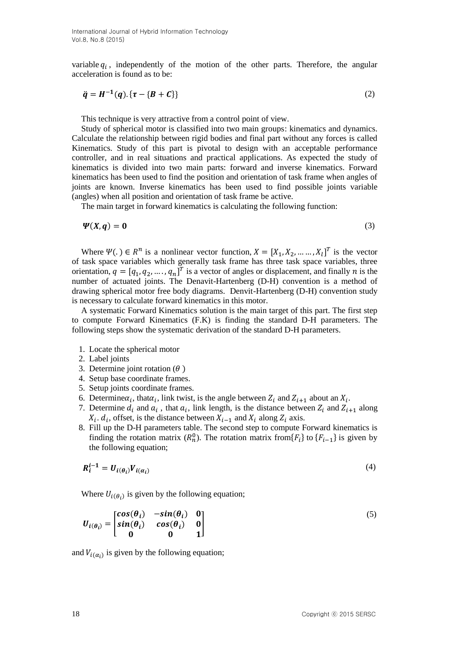variable  $q_i$ , independently of the motion of the other parts. Therefore, the angular acceleration is found as to be:

$$
\ddot{q} = H^{-1}(q) \cdot \{ \tau - \{ B + C \} \} \tag{2}
$$

This technique is very attractive from a control point of view.

Study of spherical motor is classified into two main groups: kinematics and dynamics. Calculate the relationship between rigid bodies and final part without any forces is called Kinematics. Study of this part is pivotal to design with an acceptable performance controller, and in real situations and practical applications. As expected the study of kinematics is divided into two main parts: forward and inverse kinematics. Forward kinematics has been used to find the position and orientation of task frame when angles of joints are known. Inverse kinematics has been used to find possible joints variable (angles) when all position and orientation of task frame be active.

The main target in forward kinematics is calculating the following function:

$$
\Psi(X,q) = 0 \tag{3}
$$

Where  $\Psi(.) \in R^n$  is a nonlinear vector function,  $X = [X_1, X_2, \dots, X_l]^T$  is the vector of task space variables which generally task frame has three task space variables, three orientation,  $q = [q_1, q_2, ..., q_n]^T$  is a vector of angles or displacement, and finally n is the number of actuated joints. The Denavit-Hartenberg (D-H) convention is a method of drawing spherical motor free body diagrams. Denvit-Hartenberg (D-H) convention study is necessary to calculate forward kinematics in this motor.

A systematic Forward Kinematics solution is the main target of this part. The first step to compute Forward Kinematics (F.K) is finding the standard D-H parameters. The following steps show the systematic derivation of the standard D-H parameters.

- 1. Locate the spherical motor
- 2. Label joints
- 3. Determine joint rotation  $(\theta)$
- 4. Setup base coordinate frames.
- 5. Setup joints coordinate frames.
- 6. Determine $\alpha_i$ , that  $\alpha_i$ , link twist, is the angle between  $Z_i$  and  $Z_{i+1}$  about an  $X_i$ .
- 7. Determine  $d_i$  and  $a_i$ , that  $a_i$ , link length, is the distance between  $Z_i$  and  $Z_{i+1}$  along  $X_i$ .  $d_i$ , offset, is the distance between  $X_{i-1}$  and  $X_i$  along  $Z_i$  axis.
- 8. Fill up the D-H parameters table. The second step to compute Forward kinematics is finding the rotation matrix  $(R_n^0)$ . The rotation matrix from  $\{F_i\}$  to  $\{F_{i-1}\}$  is given by the following equation;

$$
R_i^{i-1} = U_{i(\theta_i)} V_{i(\alpha_i)}
$$
\n<sup>(4)</sup>

Where  $U_{i(\theta_i)}$  is given by the following equation;

$$
U_{i(\theta_i)} = \begin{bmatrix} \cos(\theta_i) & -\sin(\theta_i) & 0 \\ \sin(\theta_i) & \cos(\theta_i) & 0 \\ 0 & 0 & 1 \end{bmatrix}
$$
 (5)

and  $V_{i(\alpha_i)}$  is given by the following equation;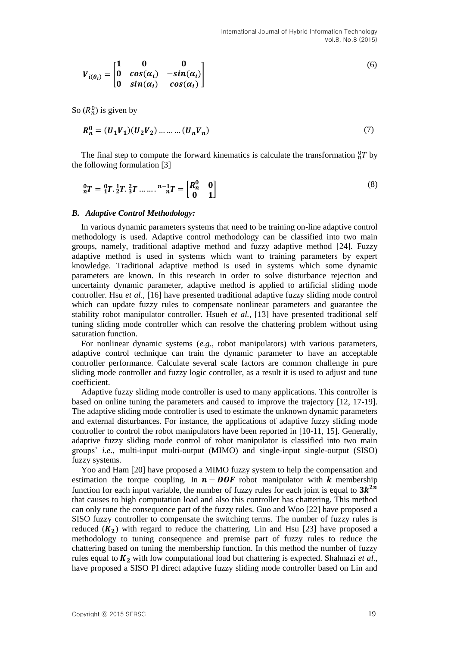$$
V_{i(\theta_i)} = \begin{bmatrix} 1 & 0 & 0 \\ 0 & cos(\alpha_i) & -sin(\alpha_i) \\ 0 & sin(\alpha_i) & cos(\alpha_i) \end{bmatrix}
$$

So  $(R_n^0)$  is given by

$$
R_n^0 = (U_1 V_1)(U_2 V_2) \dots \dots \dots (U_n V_n)
$$
\n(7)

The final step to compute the forward kinematics is calculate the transformation  ${}_{n}^{0}T$  by the following formulation [3]

$$
{}_{n}^{0}T = {}_{1}^{0}T. \, {}_{2}^{1}T. \, {}_{3}^{2}T \dots \dots \, {}_{n}^{n-1}T = \begin{bmatrix} R_{n}^{0} & 0 \\ 0 & 1 \end{bmatrix} \tag{8}
$$

#### *B. Adaptive Control Methodology:*

In various dynamic parameters systems that need to be training on-line adaptive control methodology is used. Adaptive control methodology can be classified into two main groups, namely, traditional adaptive method and fuzzy adaptive method [24]. Fuzzy adaptive method is used in systems which want to training parameters by expert knowledge. Traditional adaptive method is used in systems which some dynamic parameters are known. In this research in order to solve disturbance rejection and uncertainty dynamic parameter, adaptive method is applied to artificial sliding mode controller. Hsu *et al.*, [16] have presented traditional adaptive fuzzy sliding mode control which can update fuzzy rules to compensate nonlinear parameters and guarantee the stability robot manipulator controller. Hsueh e*t al.*, [13] have presented traditional self tuning sliding mode controller which can resolve the chattering problem without using saturation function.

For nonlinear dynamic systems (*e.g.*, robot manipulators) with various parameters, adaptive control technique can train the dynamic parameter to have an acceptable controller performance. Calculate several scale factors are common challenge in pure sliding mode controller and fuzzy logic controller, as a result it is used to adjust and tune coefficient.

Adaptive fuzzy sliding mode controller is used to many applications. This controller is based on online tuning the parameters and caused to improve the trajectory [12, 17-19]. The adaptive sliding mode controller is used to estimate the unknown dynamic parameters and external disturbances. For instance, the applications of adaptive fuzzy sliding mode controller to control the robot manipulators have been reported in [10-11, 15]. Generally, adaptive fuzzy sliding mode control of robot manipulator is classified into two main groups' *i.e.*, multi-input multi-output (MIMO) and single-input single-output (SISO) fuzzy systems.

Yoo and Ham [20] have proposed a MIMO fuzzy system to help the compensation and estimation the torque coupling. In  $n - DOF$  robot manipulator with  $k$  membership function for each input variable, the number of fuzzy rules for each joint is equal to  $3k^{2n}$ that causes to high computation load and also this controller has chattering. This method can only tune the consequence part of the fuzzy rules. Guo and Woo [22] have proposed a SISO fuzzy controller to compensate the switching terms. The number of fuzzy rules is reduced  $(K_2)$  with regard to reduce the chattering. Lin and Hsu [23] have proposed a methodology to tuning consequence and premise part of fuzzy rules to reduce the chattering based on tuning the membership function. In this method the number of fuzzy rules equal to  $K_2$  with low computational load but chattering is expected. Shahnazi *et al.*, have proposed a SISO PI direct adaptive fuzzy sliding mode controller based on Lin and

(6)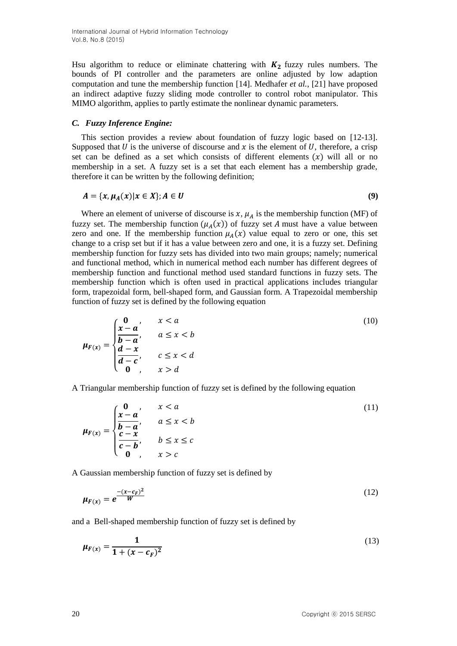Hsu algorithm to reduce or eliminate chattering with  $K_2$  fuzzy rules numbers. The bounds of PI controller and the parameters are online adjusted by low adaption computation and tune the membership function [14]. Medhafer *et al.*, [21] have proposed an indirect adaptive fuzzy sliding mode controller to control robot manipulator. This MIMO algorithm, applies to partly estimate the nonlinear dynamic parameters.

### *C. Fuzzy Inference Engine:*

This section provides a review about foundation of fuzzy logic based on [12-13]. Supposed that  $U$  is the universe of discourse and  $x$  is the element of  $U$ , therefore, a crisp set can be defined as a set which consists of different elements  $(x)$  will all or no membership in a set. A fuzzy set is a set that each element has a membership grade, therefore it can be written by the following definition;

$$
A = \{x, \mu_A(x) | x \in X\}; A \in U
$$
\n<sup>(9)</sup>

Where an element of universe of discourse is  $x$ ,  $\mu_A$  is the membership function (MF) of fuzzy set. The membership function  $(\mu_A(x))$  of fuzzy set A must have a value between zero and one. If the membership function  $\mu_A(x)$  value equal to zero or one, this set change to a crisp set but if it has a value between zero and one, it is a fuzzy set. Defining membership function for fuzzy sets has divided into two main groups; namely; numerical and functional method, which in numerical method each number has different degrees of membership function and functional method used standard functions in fuzzy sets. The membership function which is often used in practical applications includes triangular form, trapezoidal form, bell-shaped form, and Gaussian form. A Trapezoidal membership function of fuzzy set is defined by the following equation

$$
\mu_{F(x)} = \begin{cases}\n0 & x < a \\
\frac{x-a}{b-a}, & a \le x < b \\
\frac{d-x}{d-c}, & c \le x < d \\
0, & x > d\n\end{cases}
$$
\n(10)

A Triangular membership function of fuzzy set is defined by the following equation

$$
\mu_{F(x)} = \begin{cases}\n\frac{0}{b-a}, & x < a \\
\frac{b-a}{b-a}, & a \le x < b \\
\frac{c-x}{c-b}, & b \le x \le c \\
0, & x > c\n\end{cases} \tag{11}
$$

A Gaussian membership function of fuzzy set is defined by

$$
\mu_{F(x)} = e^{\frac{-(x - c_F)^2}{W}}
$$
 (12)

and a Bell-shaped membership function of fuzzy set is defined by

$$
\mu_{F(x)} = \frac{1}{1 + (x - c_F)^2} \tag{13}
$$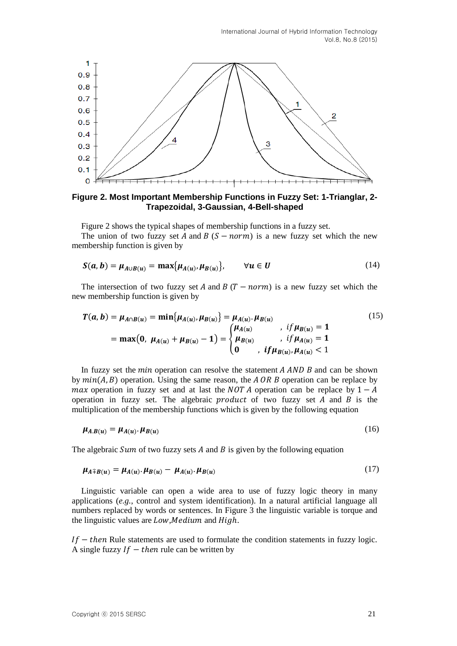

**Figure 2. Most Important Membership Functions in Fuzzy Set: 1-Trianglar, 2- Trapezoidal, 3-Gaussian, 4-Bell-shaped**

Figure 2 shows the typical shapes of membership functions in a fuzzy set.

The union of two fuzzy set *A* and *B* (*S* – *norm*) is a new fuzzy set which the new membership function is given by

$$
S(a,b) = \mu_{A \cup B(u)} = \max{\mu_{A(u)}, \mu_{B(u)}}, \qquad \forall u \in U
$$
\n(14)

The intersection of two fuzzy set A and B  $(T - norm)$  is a new fuzzy set which the new membership function is given by

$$
T(a,b) = \mu_{A \cap B(u)} = \min\{\mu_{A(u)}, \mu_{B(u)}\} = \mu_{A(u)} \cdot \mu_{B(u)}
$$
  
= max(0,  $\mu_{A(u)} + \mu_{B(u)} - 1$ ) = 
$$
\begin{cases} \mu_{A(u)} & , \text{ if } \mu_{B(u)} = 1 \\ \mu_{B(u)} & , \text{ if } \mu_{A(u)} = 1 \\ 0 & , \text{ if } \mu_{B(u)} \cdot \mu_{A(u)} < 1 \end{cases}
$$
 (15)

In fuzzy set the  $min$  operation can resolve the statement  $A AND B$  and can be shown by  $min(A, B)$  operation. Using the same reason, the  $A \, OR \, B$  operation can be replace by *max* operation in fuzzy set and at last the  $NOT$  A operation can be replace by  $1 - A$ operation in fuzzy set. The algebraic *product* of two fuzzy set  $\overline{A}$  and  $\overline{B}$  is the multiplication of the membership functions which is given by the following equation

$$
\mu_{A,B(u)} = \mu_{A(u)} \cdot \mu_{B(u)} \tag{16}
$$

The algebraic  $Sum$  of two fuzzy sets  $A$  and  $B$  is given by the following equation

$$
\mu_{A\widehat{+}B(u)} = \mu_{A(u)} \cdot \mu_{B(u)} - \mu_{A(u)} \cdot \mu_{B(u)}
$$
\n(17)

Linguistic variable can open a wide area to use of fuzzy logic theory in many applications (*e.g.*, control and system identification). In a natural artificial language all numbers replaced by words or sentences. In Figure 3 the linguistic variable is torque and the linguistic values are  $Low, Medium$  and  $High$ .

 $If - then Rule statements are used to formulate the condition statements in fuzzy logic.$ A single fuzzy  $If - then$  rule can be written by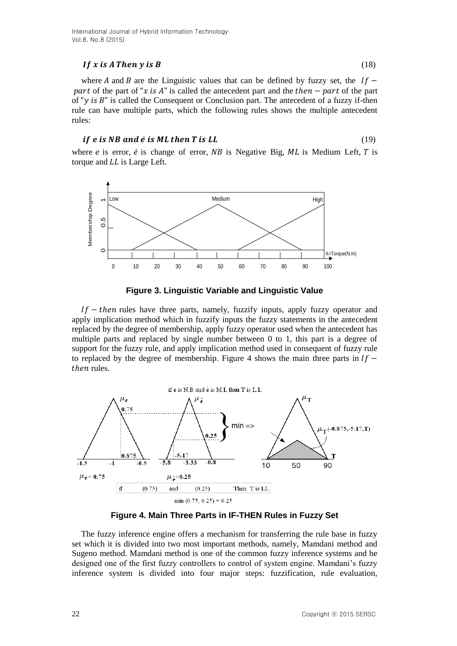### If  $x$  is  $A$  Then  $y$  is  $B$  (18)

where A and B are the Linguistic values that can be defined by fuzzy set, the  $If$  – part of the part of "x is A" is called the antecedent part and the then – part of the part of " $y$  is B" is called the Consequent or Conclusion part. The antecedent of a fuzzy if-then rule can have multiple parts, which the following rules shows the multiple antecedent rules:

#### *if e is NB and e is ML then T is LL*  $(19)$

where *e* is error, *è* is change of error,  $NB$  is Negative Big,  $ML$  is Medium Left, *T* is torque and LL is Large Left.



**Figure 3. Linguistic Variable and Linguistic Value**

 $If - then$  rules have three parts, namely, fuzzify inputs, apply fuzzy operator and apply implication method which in fuzzify inputs the fuzzy statements in the antecedent replaced by the degree of membership, apply fuzzy operator used when the antecedent has multiple parts and replaced by single number between 0 to 1, this part is a degree of support for the fuzzy rule, and apply implication method used in consequent of fuzzy rule to replaced by the degree of membership. Figure 4 shows the main three parts in  $If$  – then rules.





The fuzzy inference engine offers a mechanism for transferring the rule base in fuzzy set which it is divided into two most important methods, namely, Mamdani method and Sugeno method. Mamdani method is one of the common fuzzy inference systems and he designed one of the first fuzzy controllers to control of system engine. Mamdani's fuzzy inference system is divided into four major steps: fuzzification, rule evaluation,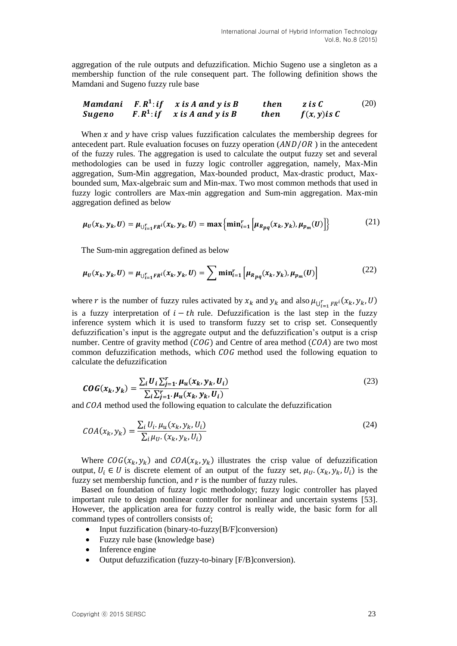aggregation of the rule outputs and defuzzification. Michio Sugeno use a singleton as a membership function of the rule consequent part. The following definition shows the Mamdani and Sugeno fuzzy rule base

|               | Mamdani $F.R^1$ : if $x$ is A and y is B | then | z is C         | (20) |
|---------------|------------------------------------------|------|----------------|------|
| <b>Sugeno</b> | $F.R^1$ : if x is A and y is B           | then | $f(x, y)$ is C |      |

When  $x$  and  $y$  have crisp values fuzzification calculates the membership degrees for antecedent part. Rule evaluation focuses on fuzzy operation  $(AND/OR)$  in the antecedent of the fuzzy rules. The aggregation is used to calculate the output fuzzy set and several methodologies can be used in fuzzy logic controller aggregation, namely, Max-Min aggregation, Sum-Min aggregation, Max-bounded product, Max-drastic product, Maxbounded sum, Max-algebraic sum and Min-max. Two most common methods that used in fuzzy logic controllers are Max-min aggregation and Sum-min aggregation. Max-min aggregation defined as below

$$
\mu_U(x_k, y_k, U) = \mu_{\bigcup_{i=1}^r F R^i}(x_k, y_k, U) = \max \left\{ \min_{i=1}^r \left[ \mu_{Rpq}(x_k, y_k), \mu_{p_m}(U) \right] \right\} \tag{21}
$$

The Sum-min aggregation defined as below

$$
\mu_U(x_k, y_k, U) = \mu_{\bigcup_{i=1}^r F R^i}(x_k, y_k, U) = \sum \min_{i=1}^r \left[ \mu_{R_{pq}}(x_k, y_k), \mu_{p_m}(U) \right]
$$
(22)

where r is the number of fuzzy rules activated by  $x_k$  and  $y_k$  and also  $\mu_{\bigcup_{i=1}^r F R^i}(x_k, y_k, U)$ is a fuzzy interpretation of  $i - th$  rule. Defuzzification is the last step in the fuzzy inference system which it is used to transform fuzzy set to crisp set. Consequently defuzzification's input is the aggregate output and the defuzzification's output is a crisp number. Centre of gravity method  $(COG)$  and Centre of area method  $(COA)$  are two most common defuzzification methods, which  $COG$  method used the following equation to calculate the defuzzification

$$
COG(x_k, y_k) = \frac{\sum_i U_i \sum_{j=1}^r \mu_u(x_k, y_k, U_i)}{\sum_i \sum_{j=1}^r \mu_u(x_k, y_k, U_i)}
$$
(23)

and COA method used the following equation to calculate the defuzzification

$$
COA(x_k, y_k) = \frac{\sum_i U_i \cdot \mu_u(x_k, y_k, U_i)}{\sum_i \mu_{U} \cdot (x_k, y_k, U_i)}
$$
(24)

Where  $COG(x_k, y_k)$  and  $COA(x_k, y_k)$  illustrates the crisp value of defuzzification output,  $U_i \in U$  is discrete element of an output of the fuzzy set,  $\mu_{U}$ .  $(x_k, y_k, U_i)$  is the fuzzy set membership function, and  $r$  is the number of fuzzy rules.

Based on foundation of fuzzy logic methodology; fuzzy logic controller has played important rule to design nonlinear controller for nonlinear and uncertain systems [53]. However, the application area for fuzzy control is really wide, the basic form for all command types of controllers consists of;

- Input fuzzification (binary-to-fuzzy[B/F]conversion)
- Fuzzy rule base (knowledge base)
- Inference engine
- Output defuzzification (fuzzy-to-binary [F/B]conversion).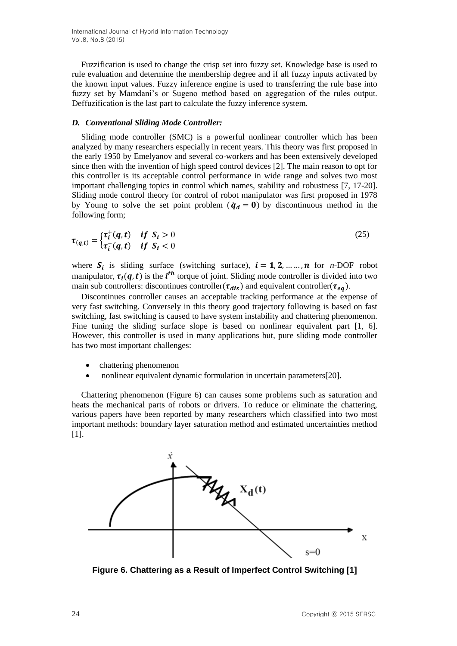Fuzzification is used to change the crisp set into fuzzy set. Knowledge base is used to rule evaluation and determine the membership degree and if all fuzzy inputs activated by the known input values. Fuzzy inference engine is used to transferring the rule base into fuzzy set by Mamdani's or Sugeno method based on aggregation of the rules output. Deffuzification is the last part to calculate the fuzzy inference system.

#### *D. Conventional Sliding Mode Controller:*

Sliding mode controller (SMC) is a powerful nonlinear controller which has been analyzed by many researchers especially in recent years. This theory was first proposed in the early 1950 by Emelyanov and several co-workers and has been extensively developed since then with the invention of high speed control devices [2]. The main reason to opt for this controller is its acceptable control performance in wide range and solves two most important challenging topics in control which names, stability and robustness [7, 17-20]. Sliding mode control theory for control of robot manipulator was first proposed in 1978 by Young to solve the set point problem ( $\dot{q}_d = 0$ ) by discontinuous method in the following form;

$$
\boldsymbol{\tau}_{(q,t)} = \begin{cases} \boldsymbol{\tau}_i^+(q,t) & \text{if } \boldsymbol{S}_i > 0 \\ \boldsymbol{\tau}_i^-(q,t) & \text{if } \boldsymbol{S}_i < 0 \end{cases} \tag{25}
$$

where  $S_i$  is sliding surface (switching surface),  $i = 1, 2, ..., n$  for *n*-DOF robot manipulator,  $\tau_i(q, t)$  is the *i*<sup>th</sup> torque of joint. Sliding mode controller is divided into two main sub controllers: discontinues controller( $\tau_{dis}$ ) and equivalent controller( $\tau_{ea}$ ).

Discontinues controller causes an acceptable tracking performance at the expense of very fast switching. Conversely in this theory good trajectory following is based on fast switching, fast switching is caused to have system instability and chattering phenomenon. Fine tuning the sliding surface slope is based on nonlinear equivalent part [1, 6]. However, this controller is used in many applications but, pure sliding mode controller has two most important challenges:

- chattering phenomenon
- nonlinear equivalent dynamic formulation in uncertain parameters[20].

Chattering phenomenon (Figure 6) can causes some problems such as saturation and heats the mechanical parts of robots or drivers. To reduce or eliminate the chattering, various papers have been reported by many researchers which classified into two most important methods: boundary layer saturation method and estimated uncertainties method [1].



**Figure 6. Chattering as a Result of Imperfect Control Switching [1]**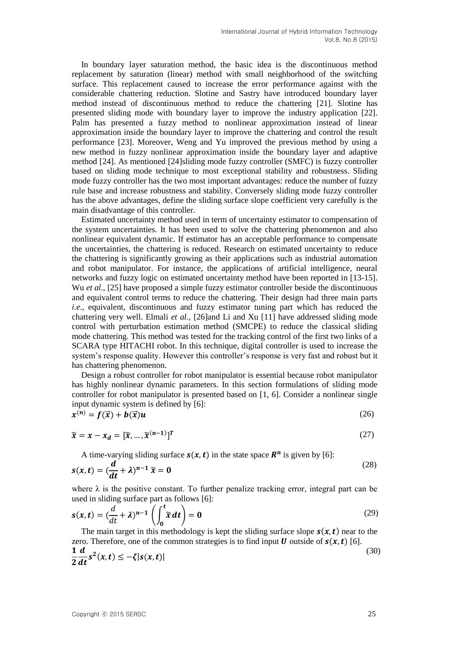In boundary layer saturation method, the basic idea is the discontinuous method replacement by saturation (linear) method with small neighborhood of the switching surface. This replacement caused to increase the error performance against with the considerable chattering reduction. Slotine and Sastry have introduced boundary layer method instead of discontinuous method to reduce the chattering [21]. Slotine has presented sliding mode with boundary layer to improve the industry application [22]. Palm has presented a fuzzy method to nonlinear approximation instead of linear approximation inside the boundary layer to improve the chattering and control the result performance [23]. Moreover, Weng and Yu improved the previous method by using a new method in fuzzy nonlinear approximation inside the boundary layer and adaptive method  $[24]$ . As mentioned  $[24]$ sliding mode fuzzy controller (SMFC) is fuzzy controller based on sliding mode technique to most exceptional stability and robustness. Sliding mode fuzzy controller has the two most important advantages: reduce the number of fuzzy rule base and increase robustness and stability. Conversely sliding mode fuzzy controller has the above advantages, define the sliding surface slope coefficient very carefully is the main disadvantage of this controller.

Estimated uncertainty method used in term of uncertainty estimator to compensation of the system uncertainties. It has been used to solve the chattering phenomenon and also nonlinear equivalent dynamic. If estimator has an acceptable performance to compensate the uncertainties, the chattering is reduced. Research on estimated uncertainty to reduce the chattering is significantly growing as their applications such as industrial automation and robot manipulator. For instance, the applications of artificial intelligence, neural networks and fuzzy logic on estimated uncertainty method have been reported in [13-15]. Wu *et al.*, [25] have proposed a simple fuzzy estimator controller beside the discontinuous and equivalent control terms to reduce the chattering. Their design had three main parts *i.e.*, equivalent, discontinuous and fuzzy estimator tuning part which has reduced the chattering very well. Elmali *et al.*, [26]and Li and Xu [11] have addressed sliding mode control with perturbation estimation method (SMCPE) to reduce the classical sliding mode chattering. This method was tested for the tracking control of the first two links of a SCARA type HITACHI robot. In this technique, digital controller is used to increase the system's response quality. However this controller's response is very fast and robust but it has chattering phenomenon.

Design a robust controller for robot manipulator is essential because robot manipulator has highly nonlinear dynamic parameters. In this section formulations of sliding mode controller for robot manipulator is presented based on [1, 6]. Consider a nonlinear single input dynamic system is defined by [6]:

$$
x^{(n)} = f(\vec{x}) + b(\vec{x})u
$$
 (26)

$$
\widetilde{\mathbf{x}} = \mathbf{x} - \mathbf{x}_d = [\widetilde{\mathbf{x}}, \dots, \widetilde{\mathbf{x}}^{(n-1)}]^T
$$
\n(27)

A time-varying sliding surface 
$$
s(x, t)
$$
 in the state space  $R^n$  is given by [6]:  

$$
s(x, t) = (\frac{d}{dt} + \lambda)^{n-1} \tilde{x} = 0
$$
 (28)

where  $\lambda$  is the positive constant. To further penalize tracking error, integral part can be used in sliding surface part as follows [6]:

$$
s(x,t) = \left(\frac{d}{dt} + \lambda\right)^{n-1} \left(\int_0^t \widetilde{x} dt\right) = 0
$$
\n(29)

The main target in this methodology is kept the sliding surface slope  $s(x, t)$  near to the zero. Therefore, one of the common strategies is to find input U outside of  $s(x, t)$  [6].  $\mathbf{1}$  $\mathbf{2}$ d  $\frac{d}{dt} s^2(x,t) \leq -\zeta |s(x,t)|$ (30)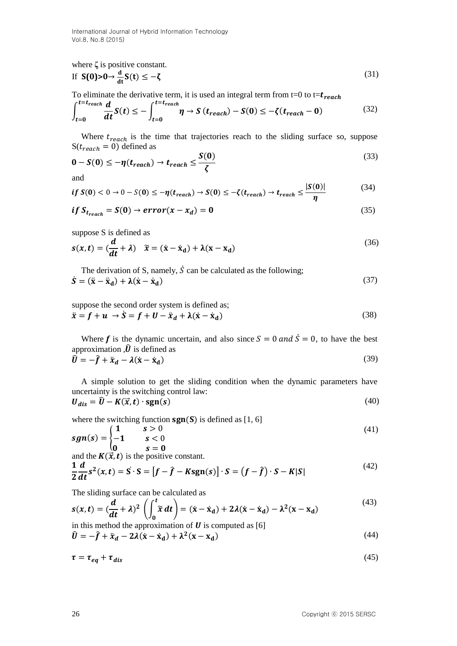where 
$$
\zeta
$$
 is positive constant.  
If  $S(0) > 0 \rightarrow \frac{d}{dt} S(t) \le -\zeta$  (31)

To eliminate the derivative term, it is used an integral term from t=0 to t= $t_{reach}$ 

$$
\int_{t=0}^{t=t_{reach}} \frac{d}{dt} S(t) \le -\int_{t=0}^{t=t_{reach}} \eta \to S(t_{reach}) - S(0) \le -\zeta(t_{reach} - 0)
$$
\n(32)

Where  $t_{reach}$  is the time that trajectories reach to the sliding surface so, suppose  $S(t_{reach} = 0)$  defined as  $\sim$ 

$$
0 - S(0) \le -\eta(t_{reach}) \to t_{reach} \le \frac{S(0)}{\zeta}
$$
\n(33)

and

$$
if S(0) < 0 \rightarrow 0 - S(0) \le -\eta(t_{reach}) \rightarrow S(0) \le -\zeta(t_{reach}) \rightarrow t_{reach} \le \frac{|S(0)|}{\eta}
$$
(34)

$$
if S_{t_{reach}} = S(0) \rightarrow error(x - x_d) = 0 \tag{35}
$$

suppose S is defined as

$$
s(x,t) = \left(\frac{d}{dt} + \lambda\right) \quad \tilde{x} = (\dot{x} - \dot{x}_d) + \lambda(x - x_d) \tag{36}
$$

The derivation of S, namely,  $\dot{S}$  can be calculated as the following;  $\dot{S} = (\ddot{x} - \ddot{x}_d) + \lambda(\dot{x} - \dot{x}_d)$ )  $(37)$ 

suppose the second order system is defined as;  $\ddot{x} = f + u \rightarrow \dot{S} = f + U - \ddot{x}_d + \lambda(\dot{x} - \dot{x}_d)$  $)$  (38)

Where f is the dynamic uncertain, and also since  $S = 0$  and  $\dot{S} = 0$ , to have the best approximation  $\hat{U}$  is defined as  $\hat{U} = -\hat{f} + \ddot{x}_d - \lambda(\dot{x} - \dot{x}_d)$  $)$  (39)

A simple solution to get the sliding condition when the dynamic parameters have uncertainty is the switching control law:

$$
U_{dis} = \hat{U} - K(\vec{x}, t) \cdot \text{sgn}(s) \tag{40}
$$

where the switching function  $sgn(S)$  is defined as [1, 6]

$$
sgn(s) = \begin{cases} 1 & s > 0 \\ -1 & s < 0 \\ 0 & s = 0 \end{cases}
$$
 (41)

and the  $K(\vec{x}, t)$  is the positive constant.

$$
\frac{1}{2}\frac{d}{dt}s^2(x,t) = \mathbf{S} \cdot \mathbf{S} = [f - \hat{f} - Ksgn(s)] \cdot \mathbf{S} = (f - \hat{f}) \cdot \mathbf{S} - K|\mathbf{S}|
$$
\n(42)

The sliding surface can be calculated as

$$
s(x,t) = \left(\frac{d}{dt} + \lambda\right)^2 \left(\int_0^t \tilde{x} dt\right) = (\dot{x} - \dot{x}_d) + 2\lambda(\dot{x} - \dot{x}_d) - \lambda^2(x - x_d)
$$
\n(43)

in this method the approximation of **U** is computed as [6]  
\n
$$
\hat{U} = -\hat{f} + \ddot{x}_d - 2\lambda(\dot{x} - \dot{x}_d) + \lambda^2(x - x_d)
$$
\n(44)

$$
\tau = \tau_{eq} + \tau_{dis} \tag{45}
$$

 $\sim$   $\sim$   $\sim$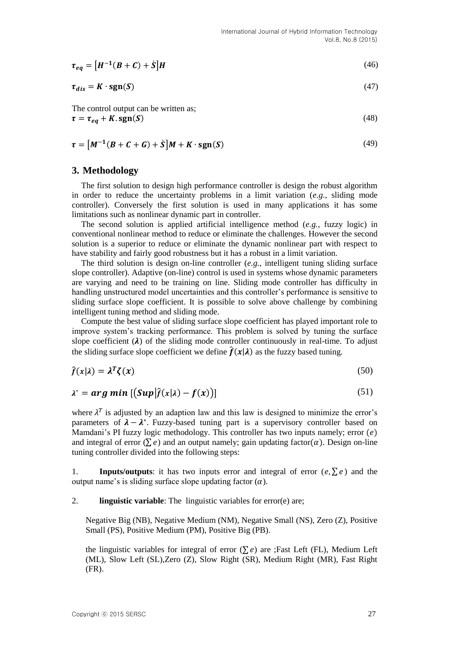$$
\tau_{eq} = [H^{-1}(B+C) + \dot{S}]H \tag{46}
$$

$$
\tau_{dis} = K \cdot \text{sgn}(S) \tag{47}
$$

The control output can be written as;  $\tau = \tau_{eq} + K \cdot \text{sgn}(S)$  (48)

$$
\tau = [M^{-1}(B + C + G) + \dot{S}]M + K \cdot \text{sgn}(S) \tag{49}
$$

### **3. Methodology**

The first solution to design high performance controller is design the robust algorithm in order to reduce the uncertainty problems in a limit variation (*e.g.*, sliding mode controller). Conversely the first solution is used in many applications it has some limitations such as nonlinear dynamic part in controller.

The second solution is applied artificial intelligence method (*e.g.*, fuzzy logic) in conventional nonlinear method to reduce or eliminate the challenges. However the second solution is a superior to reduce or eliminate the dynamic nonlinear part with respect to have stability and fairly good robustness but it has a robust in a limit variation.

The third solution is design on-line controller (*e.g.*, intelligent tuning sliding surface slope controller). Adaptive (on-line) control is used in systems whose dynamic parameters are varying and need to be training on line. Sliding mode controller has difficulty in handling unstructured model uncertainties and this controller's performance is sensitive to sliding surface slope coefficient. It is possible to solve above challenge by combining intelligent tuning method and sliding mode.

Compute the best value of sliding surface slope coefficient has played important role to improve system's tracking performance. This problem is solved by tuning the surface slope coefficient  $(\lambda)$  of the sliding mode controller continuously in real-time. To adjust the sliding surface slope coefficient we define  $\hat{f}(x|\lambda)$  as the fuzzy based tuning.

$$
\hat{f}(x|\lambda) = \lambda^T \zeta(x) \tag{50}
$$

$$
\lambda^* = \arg\min\left[ \left( \text{Sup} \left| \hat{f}(x|\lambda) - f(x) \right) \right] \right] \tag{51}
$$

where  $\lambda^T$  is adjusted by an adaption law and this law is designed to minimize the error's parameters of  $\lambda - \lambda^*$ . Fuzzy-based tuning part is a supervisory controller based on Mamdani's PI fuzzy logic methodology. This controller has two inputs namely; error  $(e)$ and integral of error ( $\Sigma e$ ) and an output namely; gain updating factor( $\alpha$ ). Design on-line tuning controller divided into the following steps:

1. **Inputs/outputs**: it has two inputs error and integral of error  $(e, \sum e)$  and the output name's is sliding surface slope updating factor  $(\alpha)$ .

2. **linguistic variable**: The linguistic variables for error(e) are;

Negative Big (NB), Negative Medium (NM), Negative Small (NS), Zero (Z), Positive Small (PS), Positive Medium (PM), Positive Big (PB).

the linguistic variables for integral of error  $(\Sigma e)$  are ;Fast Left (FL), Medium Left (ML), Slow Left (SL),Zero (Z), Slow Right (SR), Medium Right (MR), Fast Right (FR).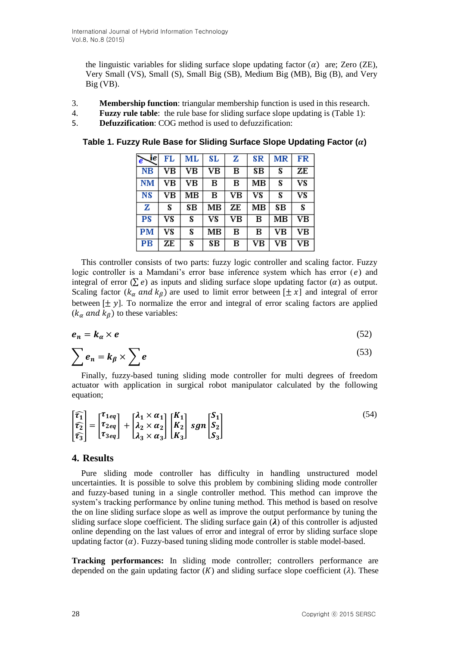the linguistic variables for sliding surface slope updating factor  $(\alpha)$  are; Zero (ZE), Very Small (VS), Small (S), Small Big (SB), Medium Big (MB), Big (B), and Very Big (VB).

- 3. **Membership function**: triangular membership function is used in this research.
- 4. **Fuzzy rule table**: the rule base for sliding surface slope updating is (Table 1):
- 5. **Defuzzification**: COG method is used to defuzzification:

| <b>j</b> e<br>è          | FL                                | ML                        | SL                                | z                       | $_{\rm SR}$ | MR                      | FR |
|--------------------------|-----------------------------------|---------------------------|-----------------------------------|-------------------------|-------------|-------------------------|----|
| NB                       | $\overline{\rm v}$                | $\overline{\mathbf{v}}$ B | $\overline{\rm v}$ B              | B                       | $_{\rm SB}$ | S                       | ZE |
| <b>NM</b>                | VB                                | VВ                        | B                                 | в                       | MВ          | S                       | VS |
| NS                       | VΒ                                | MВ                        | B                                 | vв                      | VS          | S                       | VS |
| z                        | S                                 | $\mathbf{S} \mathbf{B}$   | MB                                | ZE                      | MB          | $\mathbf{S} \mathbf{B}$ | S  |
| PS                       | $\overline{\mathbf{v}}\mathbf{s}$ | S                         | $\overline{\mathbf{v}}\mathbf{s}$ | $\overline{\mathbf{v}}$ | B           | $\overline{\text{MB}}$  | VВ |
| <b>PM</b>                | VS                                | S                         | MВ                                | в                       | B           | vв                      | VВ |
| $\overline{\mathbf{PB}}$ | ZE                                | S                         | SΒ                                | в                       | vв          | VВ                      | vв |

**Table 1. Fuzzy Rule Base for Sliding Surface Slope Updating Factor ()**

This controller consists of two parts: fuzzy logic controller and scaling factor. Fuzzy logic controller is a Mamdani's error base inference system which has error  $(e)$  and integral of error  $(\Sigma e)$  as inputs and sliding surface slope updating factor  $(\alpha)$  as output. Scaling factor ( $k_{\alpha}$  and  $k_{\beta}$ ) are used to limit error between [ $\pm x$ ] and integral of error between  $[\pm y]$ . To normalize the error and integral of error scaling factors are applied  $(k_\alpha$  and  $k_\beta$ ) to these variables:

$$
e_n = k_\alpha \times e \tag{52}
$$

$$
\sum e_n = k_\beta \times \sum e \tag{53}
$$

Finally, fuzzy-based tuning sliding mode controller for multi degrees of freedom actuator with application in surgical robot manipulator calculated by the following equation;

$$
\begin{bmatrix} \widehat{\tau_1} \\ \widehat{\tau_2} \\ \widehat{\tau_3} \end{bmatrix} = \begin{bmatrix} \tau_{1eq} \\ \tau_{2eq} \\ \tau_{3eq} \end{bmatrix} + \begin{bmatrix} \lambda_1 \times \alpha_1 \\ \lambda_2 \times \alpha_2 \\ \lambda_3 \times \alpha_3 \end{bmatrix} \begin{bmatrix} K_1 \\ K_2 \\ K_3 \end{bmatrix} sgn \begin{bmatrix} S_1 \\ S_2 \\ S_3 \end{bmatrix}
$$
\n(54)

# **4. Results**

Pure sliding mode controller has difficulty in handling unstructured model uncertainties. It is possible to solve this problem by combining sliding mode controller and fuzzy-based tuning in a single controller method. This method can improve the system's tracking performance by online tuning method. This method is based on resolve the on line sliding surface slope as well as improve the output performance by tuning the sliding surface slope coefficient. The sliding surface gain  $(\lambda)$  of this controller is adjusted online depending on the last values of error and integral of error by sliding surface slope updating factor  $(\alpha)$ . Fuzzy-based tuning sliding mode controller is stable model-based.

**Tracking performances:** In sliding mode controller; controllers performance are depended on the gain updating factor  $(K)$  and sliding surface slope coefficient  $(\lambda)$ . These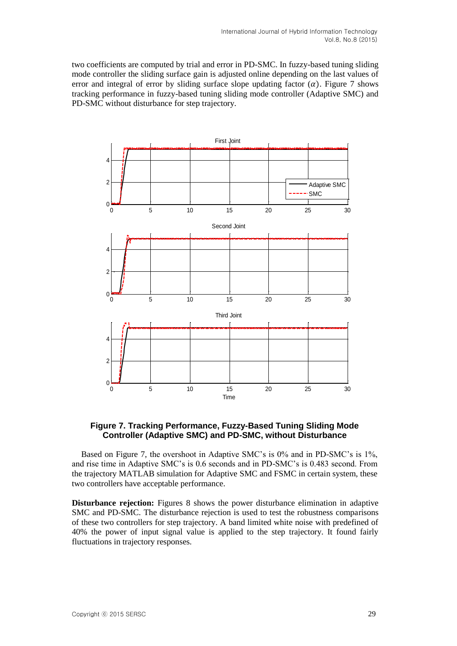two coefficients are computed by trial and error in PD-SMC. In fuzzy-based tuning sliding mode controller the sliding surface gain is adjusted online depending on the last values of error and integral of error by sliding surface slope updating factor  $(\alpha)$ . Figure 7 shows tracking performance in fuzzy-based tuning sliding mode controller (Adaptive SMC) and PD-SMC without disturbance for step trajectory.



### **Figure 7. Tracking Performance, Fuzzy-Based Tuning Sliding Mode Controller (Adaptive SMC) and PD-SMC, without Disturbance**

Based on Figure 7, the overshoot in Adaptive SMC's is 0% and in PD-SMC's is 1%, and rise time in Adaptive SMC's is 0.6 seconds and in PD-SMC's is 0.483 second. From the trajectory MATLAB simulation for Adaptive SMC and FSMC in certain system, these two controllers have acceptable performance.

**Disturbance rejection:** Figures 8 shows the power disturbance elimination in adaptive SMC and PD-SMC. The disturbance rejection is used to test the robustness comparisons of these two controllers for step trajectory. A band limited white noise with predefined of 40% the power of input signal value is applied to the step trajectory. It found fairly fluctuations in trajectory responses.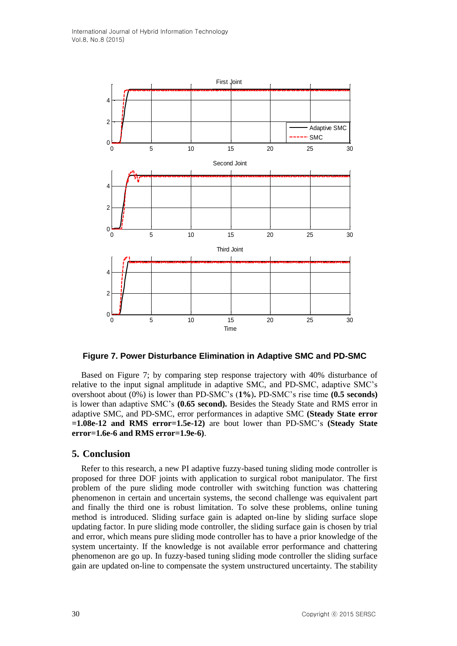

**Figure 7. Power Disturbance Elimination in Adaptive SMC and PD-SMC**

Based on Figure 7; by comparing step response trajectory with 40% disturbance of relative to the input signal amplitude in adaptive SMC, and PD-SMC, adaptive SMC's overshoot about (0%) is lower than PD-SMC's (**1%**)**.** PD-SMC's rise time **(0.5 seconds)**  is lower than adaptive SMC's **(0.65 second).** Besides the Steady State and RMS error in adaptive SMC, and PD-SMC, error performances in adaptive SMC **(Steady State error =1.08e-12 and RMS error=1.5e-12)** are bout lower than PD-SMC's **(Steady State error=1.6e-6 and RMS error=1.9e-6)**.

# **5. Conclusion**

Refer to this research, a new PI adaptive fuzzy-based tuning sliding mode controller is proposed for three DOF joints with application to surgical robot manipulator. The first problem of the pure sliding mode controller with switching function was chattering phenomenon in certain and uncertain systems, the second challenge was equivalent part and finally the third one is robust limitation. To solve these problems, online tuning method is introduced. Sliding surface gain is adapted on-line by sliding surface slope updating factor. In pure sliding mode controller, the sliding surface gain is chosen by trial and error, which means pure sliding mode controller has to have a prior knowledge of the system uncertainty. If the knowledge is not available error performance and chattering phenomenon are go up. In fuzzy-based tuning sliding mode controller the sliding surface gain are updated on-line to compensate the system unstructured uncertainty. The stability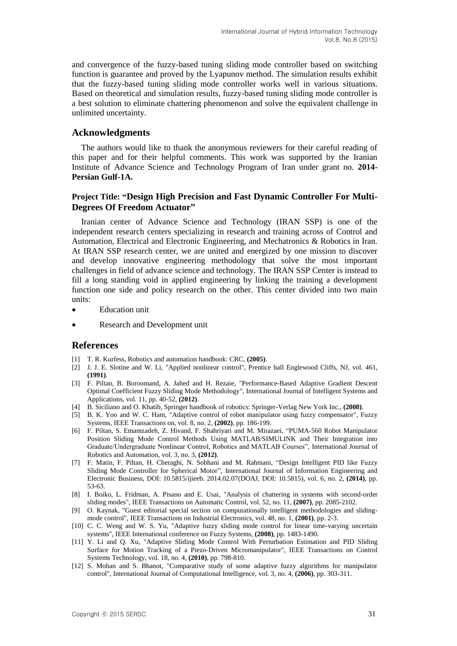and convergence of the fuzzy-based tuning sliding mode controller based on switching function is guarantee and proved by the Lyapunov method. The simulation results exhibit that the fuzzy-based tuning sliding mode controller works well in various situations. Based on theoretical and simulation results, fuzzy-based tuning sliding mode controller is a best solution to eliminate chattering phenomenon and solve the equivalent challenge in unlimited uncertainty.

### **Acknowledgments**

The authors would like to thank the anonymous reviewers for their careful reading of this paper and for their helpful comments. This work was supported by the Iranian Institute of Advance Science and Technology Program of Iran under grant no. **2014- Persian Gulf-1A.**

### **Project Title: "Design High Precision and Fast Dynamic Controller For Multi-Degrees Of Freedom Actuator"**

Iranian center of Advance Science and Technology (IRAN SSP) is one of the independent research centers specializing in research and training across of Control and Automation, Electrical and Electronic Engineering, and Mechatronics & Robotics in Iran. At IRAN SSP research center, we are united and energized by one mission to discover and develop innovative engineering methodology that solve the most important challenges in field of advance science and technology. The IRAN SSP Center is instead to fill a long standing void in applied engineering by linking the training a development function one side and policy research on the other. This center divided into two main units:

- Education unit
- Research and Development unit

# **References**

- [1] T. R. Kurfess, Robotics and automation handbook: CRC, **(2005)**.
- [2] J. J. E. Slotine and W. Li, "Applied nonlinear control", Prentice hall Englewood Cliffs, NJ, vol. 461, **(1991)**.
- [3] F. Piltan, B. Boroomand, A. Jahed and H. Rezaie, "Performance-Based Adaptive Gradient Descent Optimal Coefficient Fuzzy Sliding Mode Methodology", International Journal of Intelligent Systems and Applications, vol. 11, pp. 40-52, **(2012)**.
- [4] B. Siciliano and O. Khatib, Springer handbook of robotics: Springer-Verlag New York Inc., **(2008)**.
- [5] B. K. Yoo and W. C. Ham, "Adaptive control of robot manipulator using fuzzy compensator", Fuzzy Systems, IEEE Transactions on, vol. 8, no. 2, **(2002)**, pp. 186-199.
- [6] F. Piltan, S. Emamzadeh, Z. Hivand, F. Shahriyari and M. Mirazaei, "PUMA-560 Robot Manipulator Position Sliding Mode Control Methods Using MATLAB/SIMULINK and Their Integration into Graduate/Undergraduate Nonlinear Control, Robotics and MATLAB Courses", International Journal of Robotics and Automation, vol. 3, no. 3, **(2012)**.
- [7] F. Matin, F. Piltan, H. Cheraghi, N. Sobhani and M. Rahmani, "Design Intelligent PID like Fuzzy Sliding Mode Controller for Spherical Motor", International Journal of Information Engineering and Electronic Business, DOI: 10.5815/ijieeb. 2014.02.07(DOAJ, DOI: 10.5815), vol. 6, no. 2, **(2014)**, pp. 53-63.
- [8] I. Boiko, L. Fridman, A. Pisano and E. Usai, "Analysis of chattering in systems with second-order sliding modes", IEEE Transactions on Automatic Control, vol. 52, no. 11, **(2007)**, pp. 2085-2102.
- [9] O. Kaynak, "Guest editorial special section on computationally intelligent methodologies and slidingmode control", IEEE Transactions on Industrial Electronics, vol. 48, no. 1, **(2001)**, pp. 2-3.
- [10] C. C. Weng and W. S. Yu, "Adaptive fuzzy sliding mode control for linear time-varying uncertain systems", IEEE International conference on Fuzzy Systems, **(2008)**, pp. 1483-1490.
- [11] Y. Li and Q. Xu, "Adaptive Sliding Mode Control With Perturbation Estimation and PID Sliding Surface for Motion Tracking of a Piezo-Driven Micromanipulator", IEEE Transactions on Control Systems Technology, vol. 18, no. 4, **(2010)**, pp. 798-810.
- [12] S. Mohan and S. Bhanot, "Comparative study of some adaptive fuzzy algorithms for manipulator control", International Journal of Computational Intelligence, vol. 3, no. 4, **(2006)**, pp. 303-311.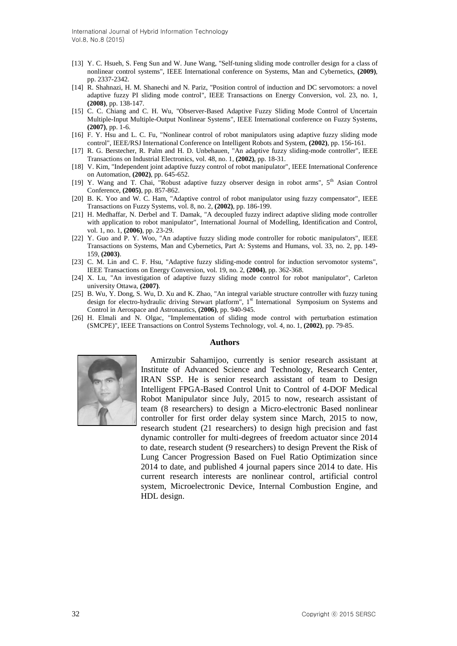- [13] Y. C. Hsueh, S. Feng Sun and W. June Wang, "Self-tuning sliding mode controller design for a class of nonlinear control systems", IEEE International conference on Systems, Man and Cybernetics, **(2009)**, pp. 2337-2342.
- [14] R. Shahnazi, H. M. Shanechi and N. Pariz, "Position control of induction and DC servomotors: a novel adaptive fuzzy PI sliding mode control", IEEE Transactions on Energy Conversion, vol. 23, no. 1, **(2008)**, pp. 138-147.
- [15] C. C. Chiang and C. H. Wu, "Observer-Based Adaptive Fuzzy Sliding Mode Control of Uncertain Multiple-Input Multiple-Output Nonlinear Systems", IEEE International conference on Fuzzy Systems, **(2007)**, pp. 1-6.
- [16] F. Y. Hsu and L. C. Fu, "Nonlinear control of robot manipulators using adaptive fuzzy sliding mode control", IEEE/RSJ International Conference on Intelligent Robots and System, **(2002)**, pp. 156-161.
- [17] R. G. Berstecher, R. Palm and H. D. Unbehauen, "An adaptive fuzzy sliding-mode controller", IEEE Transactions on Industrial Electronics, vol. 48, no. 1, **(2002)**, pp. 18-31.
- [18] V. Kim, "Independent joint adaptive fuzzy control of robot manipulator", IEEE International Conference on Automation, **(2002)**, pp. 645-652.
- [19] Y. Wang and T. Chai, "Robust adaptive fuzzy observer design in robot arms", 5<sup>th</sup> Asian Control Conference, **(2005)**, pp. 857-862.
- [20] B. K. Yoo and W. C. Ham, "Adaptive control of robot manipulator using fuzzy compensator", IEEE Transactions on Fuzzy Systems, vol. 8, no. 2, **(2002)**, pp. 186-199.
- [21] H. Medhaffar, N. Derbel and T. Damak, "A decoupled fuzzy indirect adaptive sliding mode controller with application to robot manipulator", International Journal of Modelling, Identification and Control, vol. 1, no. 1, **(2006)**, pp. 23-29.
- [22] Y. Guo and P. Y. Woo, "An adaptive fuzzy sliding mode controller for robotic manipulators", IEEE Transactions on Systems, Man and Cybernetics, Part A: Systems and Humans, vol. 33, no. 2, pp. 149- 159, **(2003)**.
- [23] C. M. Lin and C. F. Hsu, "Adaptive fuzzy sliding-mode control for induction servomotor systems", IEEE Transactions on Energy Conversion, vol. 19, no. 2, **(2004)**, pp. 362-368.
- [24] X. Lu, "An investigation of adaptive fuzzy sliding mode control for robot manipulator", Carleton university Ottawa, **(2007)**.
- [25] B. Wu, Y. Dong, S. Wu, D. Xu and K. Zhao, "An integral variable structure controller with fuzzy tuning design for electro-hydraulic driving Stewart platform", 1<sup>st</sup> International Symposium on Systems and Control in Aerospace and Astronautics, **(2006)**, pp. 940-945.
- [26] H. Elmali and N. Olgac, "Implementation of sliding mode control with perturbation estimation (SMCPE)", IEEE Transactions on Control Systems Technology, vol. 4, no. 1, **(2002)**, pp. 79-85.

#### **Authors**



Amirzubir Sahamijoo, currently is senior research assistant at Institute of Advanced Science and Technology, Research Center, IRAN SSP. He is senior research assistant of team to Design Intelligent FPGA-Based Control Unit to Control of 4-DOF Medical Robot Manipulator since July, 2015 to now, research assistant of team (8 researchers) to design a Micro-electronic Based nonlinear controller for first order delay system since March, 2015 to now, research student (21 researchers) to design high precision and fast dynamic controller for multi-degrees of freedom actuator since 2014 to date, research student (9 researchers) to design Prevent the Risk of Lung Cancer Progression Based on Fuel Ratio Optimization since 2014 to date, and published 4 journal papers since 2014 to date. His current research interests are nonlinear control, artificial control system, Microelectronic Device, Internal Combustion Engine, and HDL design.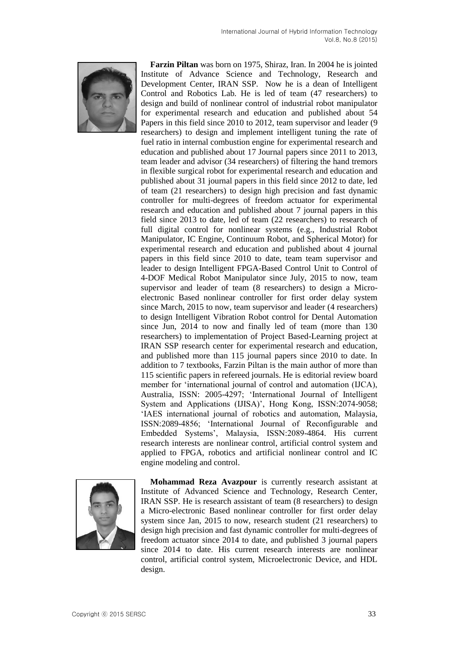

**Farzin Piltan** was born on 1975, Shiraz, Iran. In 2004 he is jointed Institute of Advance Science and Technology, Research and Development Center, IRAN SSP. Now he is a dean of Intelligent Control and Robotics Lab. He is led of team (47 researchers) to design and build of nonlinear control of industrial robot manipulator for experimental research and education and published about 54 Papers in this field since 2010 to 2012, team supervisor and leader (9 researchers) to design and implement intelligent tuning the rate of fuel ratio in internal combustion engine for experimental research and education and published about 17 Journal papers since 2011 to 2013, team leader and advisor (34 researchers) of filtering the hand tremors in flexible surgical robot for experimental research and education and published about 31 journal papers in this field since 2012 to date, led of team (21 researchers) to design high precision and fast dynamic controller for multi-degrees of freedom actuator for experimental research and education and published about 7 journal papers in this field since 2013 to date, led of team (22 researchers) to research of full digital control for nonlinear systems (e.g., Industrial Robot Manipulator, IC Engine, Continuum Robot, and Spherical Motor) for experimental research and education and published about 4 journal papers in this field since 2010 to date, team team supervisor and leader to design Intelligent FPGA-Based Control Unit to Control of 4-DOF Medical Robot Manipulator since July, 2015 to now, team supervisor and leader of team (8 researchers) to design a Microelectronic Based nonlinear controller for first order delay system since March, 2015 to now, team supervisor and leader (4 researchers) to design Intelligent Vibration Robot control for Dental Automation since Jun, 2014 to now and finally led of team (more than 130 researchers) to implementation of Project Based-Learning project at IRAN SSP research center for experimental research and education, and published more than 115 journal papers since 2010 to date. In addition to 7 textbooks, Farzin Piltan is the main author of more than 115 scientific papers in refereed journals. He is editorial review board member for 'international journal of control and automation (IJCA), Australia, ISSN: 2005-4297; 'International Journal of Intelligent System and Applications (IJISA)', Hong Kong, ISSN:2074-9058; 'IAES international journal of robotics and automation, Malaysia, ISSN:2089-4856; 'International Journal of Reconfigurable and Embedded Systems', Malaysia, ISSN:2089-4864. His current research interests are nonlinear control, artificial control system and applied to FPGA, robotics and artificial nonlinear control and IC engine modeling and control.



**Mohammad Reza Avazpour** is currently research assistant at Institute of Advanced Science and Technology, Research Center, IRAN SSP. He is research assistant of team (8 researchers) to design a Micro-electronic Based nonlinear controller for first order delay system since Jan, 2015 to now, research student (21 researchers) to design high precision and fast dynamic controller for multi-degrees of freedom actuator since 2014 to date, and published 3 journal papers since 2014 to date. His current research interests are nonlinear control, artificial control system, Microelectronic Device, and HDL design.